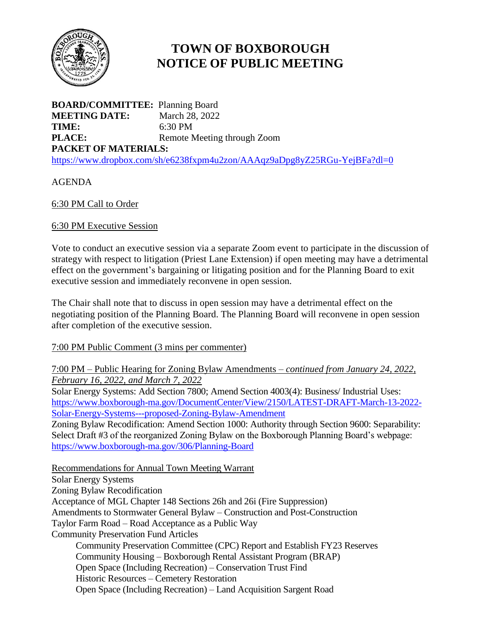

# **TOWN OF BOXBOROUGH NOTICE OF PUBLIC MEETING**

**BOARD/COMMITTEE:** Planning Board **MEETING DATE:** March 28, 2022 **TIME:** 6:30 PM **PLACE:** Remote Meeting through Zoom **PACKET OF MATERIALS:** <https://www.dropbox.com/sh/e6238fxpm4u2zon/AAAqz9aDpg8yZ25RGu-YejBFa?dl=0>

# AGENDA

## 6:30 PM Call to Order

## 6:30 PM Executive Session

Vote to conduct an executive session via a separate Zoom event to participate in the discussion of strategy with respect to litigation (Priest Lane Extension) if open meeting may have a detrimental effect on the government's bargaining or litigating position and for the Planning Board to exit executive session and immediately reconvene in open session.

The Chair shall note that to discuss in open session may have a detrimental effect on the negotiating position of the Planning Board. The Planning Board will reconvene in open session after completion of the executive session.

#### 7:00 PM Public Comment (3 mins per commenter)

7:00 PM – Public Hearing for Zoning Bylaw Amendments – *continued from January 24, 2022, February 16, 2022, and March 7, 2022*

Solar Energy Systems: Add Section 7800; Amend Section 4003(4): Business/ Industrial Uses: [https://www.boxborough-ma.gov/DocumentCenter/View/2150/LATEST-DRAFT-March-13-2022-](https://www.boxborough-ma.gov/DocumentCenter/View/2150/LATEST-DRAFT-March-13-2022-Solar-Energy-Systems---proposed-Zoning-Bylaw-Amendment) [Solar-Energy-Systems---proposed-Zoning-Bylaw-Amendment](https://www.boxborough-ma.gov/DocumentCenter/View/2150/LATEST-DRAFT-March-13-2022-Solar-Energy-Systems---proposed-Zoning-Bylaw-Amendment)

Zoning Bylaw Recodification: Amend Section 1000: Authority through Section 9600: Separability: Select Draft #3 of the reorganized Zoning Bylaw on the Boxborough Planning Board's webpage: <https://www.boxborough-ma.gov/306/Planning-Board>

#### Recommendations for Annual Town Meeting Warrant

Solar Energy Systems Zoning Bylaw Recodification

Acceptance of MGL Chapter 148 Sections 26h and 26i (Fire Suppression)

Amendments to Stormwater General Bylaw – Construction and Post-Construction

Taylor Farm Road – Road Acceptance as a Public Way

Community Preservation Fund Articles

Community Preservation Committee (CPC) Report and Establish FY23 Reserves

Community Housing – Boxborough Rental Assistant Program (BRAP)

Open Space (Including Recreation) – Conservation Trust Find

Historic Resources – Cemetery Restoration

Open Space (Including Recreation) – Land Acquisition Sargent Road